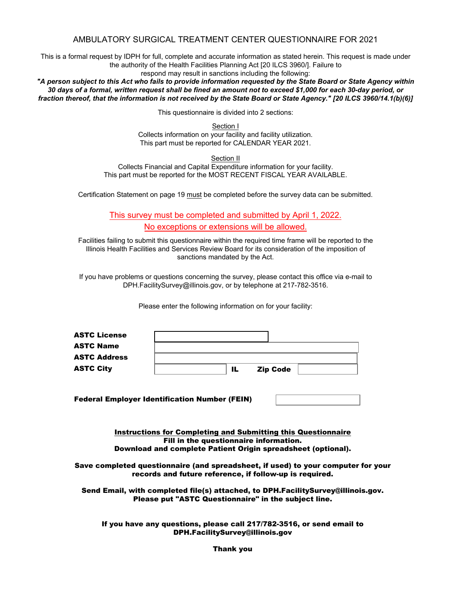# AMBULATORY SURGICAL TREATMENT CENTER QUESTIONNAIRE FOR 2021

This is a formal request by IDPH for full, complete and accurate information as stated herein. This request is made under the authority of the Health Facilities Planning Act [20 ILCS 3960/]. Failure to

respond may result in sanctions including the following:

*"A person subject to this Act who fails to provide information requested by the State Board or State Agency within 30 days of a formal, written request shall be fined an amount not to exceed \$1,000 for each 30-day period, or fraction thereof, that the information is not received by the State Board or State Agency." [20 ILCS 3960/14.1(b)(6)]*

This questionnaire is divided into 2 sections:

Section I Collects information on your facility and facility utilization. This part must be reported for CALENDAR YEAR 2021.

Section II

Collects Financial and Capital Expenditure information for your facility. This part must be reported for the MOST RECENT FISCAL YEAR AVAILABLE.

Certification Statement on page 19 must be completed before the survey data can be submitted.

This survey must be completed and submitted by April 1, 2022. No exceptions or extensions will be allowed.

Facilities failing to submit this questionnaire within the required time frame will be reported to the Illinois Health Facilities and Services Review Board for its consideration of the imposition of sanctions mandated by the Act.

If you have problems or questions concerning the survey, please contact this office via e-mail to DPH.FacilitySurvey@illinois.gov, or by telephone at 217-782-3516.

Please enter the following information on for your facility:

| <b>ASTC City</b>    | 11. | <b>Zip Code</b> |  |
|---------------------|-----|-----------------|--|
| <b>ASTC Address</b> |     |                 |  |
| <b>ASTC Name</b>    |     |                 |  |
| <b>ASTC License</b> |     |                 |  |

Federal Employer Identification Number (FEIN)

Instructions for Completing and Submitting this Questionnaire Fill in the questionnaire information. Download and complete Patient Origin spreadsheet (optional).

Save completed questionnaire (and spreadsheet, if used) to your computer for your records and future reference, if follow-up is required.

Send Email, with completed file(s) attached, to DPH.FacilitySurvey@illinois.gov. Please put "ASTC Questionnaire" in the subject line.

If you have any questions, please call 217/782-3516, or send email to DPH.FacilitySurvey@illinois.gov

Thank you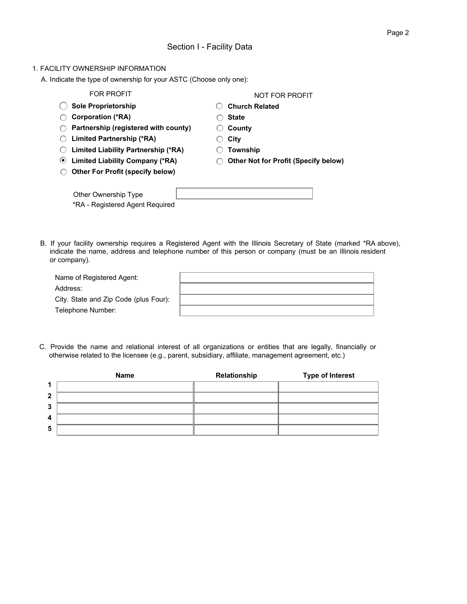### 1. FACILITY OWNERSHIP INFORMATION

A. Indicate the type of ownership for your ASTC (Choose only one):

| <b>FOR PROFIT</b>                                                  | NOT FOR PROFIT                              |
|--------------------------------------------------------------------|---------------------------------------------|
| <b>Sole Proprietorship</b>                                         | <b>Church Related</b>                       |
| <b>Corporation (*RA)</b>                                           | <b>State</b>                                |
| Partnership (registered with county)                               | County                                      |
| Limited Partnership (*RA)                                          | City                                        |
| Limited Liability Partnership (*RA)                                | Township                                    |
| <b>Limited Liability Company (*RA)</b><br>$\left( \bullet \right)$ | <b>Other Not for Profit (Specify below)</b> |
| <b>Other For Profit (specify below)</b>                            |                                             |
| Other Ownership Type<br>*RA - Registered Agent Reguired            |                                             |

B. If your facility ownership requires a Registered Agent with the Illinois Secretary of State (marked \*RA above), indicate the name, address and telephone number of this person or company (must be an Illinois resident or company).

| Name of Registered Agent:             |  |
|---------------------------------------|--|
| Address:                              |  |
| City. State and Zip Code (plus Four): |  |
| Telephone Number:                     |  |

C. Provide the name and relational interest of all organizations or entities that are legally, financially or otherwise related to the licensee (e.g., parent, subsidiary, affiliate, management agreement, etc.)

|              | Name | Relationship | <b>Type of Interest</b> |
|--------------|------|--------------|-------------------------|
| 1            |      |              |                         |
| $\mathbf{2}$ |      |              |                         |
| 3            |      |              |                         |
| 4            |      |              |                         |
| 5            |      |              |                         |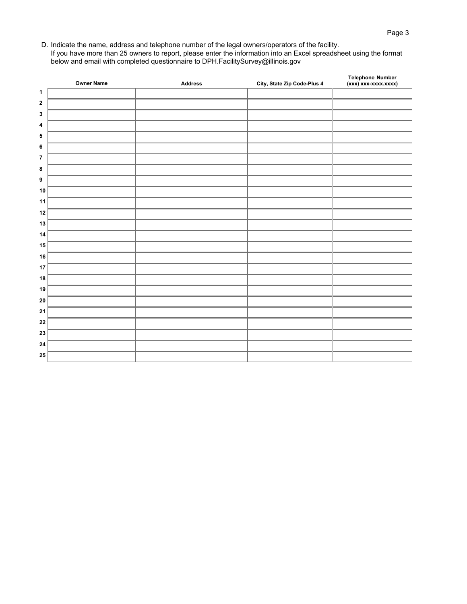D. Indicate the name, address and telephone number of the legal owners/operators of the facility. If you have more than 25 owners to report, please enter the information into an Excel spreadsheet using the format below and email with completed questionnaire to DPH.FacilitySurvey@illinois.gov

|                         | <b>Owner Name</b> | <b>Address</b> | City, State Zip Code-Plus 4 | Telephone Number<br>(xxx) xxx-xxxx.xxxx) |
|-------------------------|-------------------|----------------|-----------------------------|------------------------------------------|
| 1                       |                   |                |                             |                                          |
| $\mathbf 2$             |                   |                |                             |                                          |
| 3                       |                   |                |                             |                                          |
| $\boldsymbol{4}$        |                   |                |                             |                                          |
| 5                       |                   |                |                             |                                          |
| 6                       |                   |                |                             |                                          |
| $\overline{\mathbf{r}}$ |                   |                |                             |                                          |
| 8                       |                   |                |                             |                                          |
| 9                       |                   |                |                             |                                          |
| 10                      |                   |                |                             |                                          |
| 11                      |                   |                |                             |                                          |
| 12                      |                   |                |                             |                                          |
| 13                      |                   |                |                             |                                          |
| 14                      |                   |                |                             |                                          |
| 15                      |                   |                |                             |                                          |
| 16                      |                   |                |                             |                                          |
| 17                      |                   |                |                             |                                          |
| 18                      |                   |                |                             |                                          |
| 19                      |                   |                |                             |                                          |
| 20                      |                   |                |                             |                                          |
| 21                      |                   |                |                             |                                          |
| 22                      |                   |                |                             |                                          |
| 23                      |                   |                |                             |                                          |
| 24                      |                   |                |                             |                                          |
| 25                      |                   |                |                             |                                          |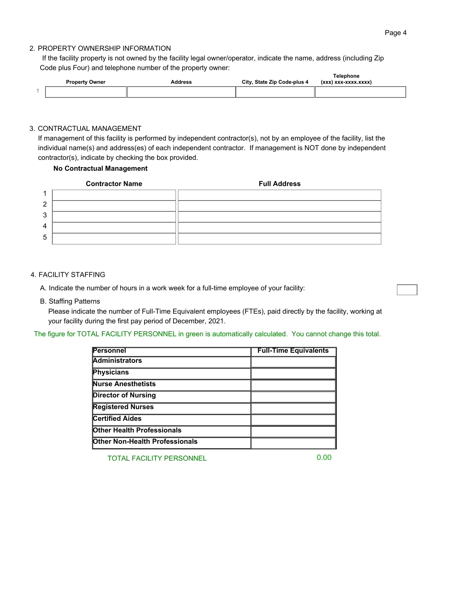### 2. PROPERTY OWNERSHIP INFORMATION

If the facility property is not owned by the facility legal owner/operator, indicate the name, address (including Zip Code plus Four) and telephone number of the property owner: **Telephone**

| <b>Property Owner</b> | ddress | City, State Zip Code-plus 4 | <b>Telephone</b><br>(XXX)<br>I VYY-YYYY YYYY<br>-88888888 |
|-----------------------|--------|-----------------------------|-----------------------------------------------------------|
|                       |        |                             |                                                           |

#### 3. CONTRACTUAL MANAGEMENT

If management of this facility is performed by independent contractor(s), not by an employee of the facility, list the individual name(s) and address(es) of each independent contractor. If management is NOT done by independent contractor(s), indicate by checking the box provided.

### **No Contractual Management**

|                | <b>Contractor Name</b> | <b>Full Address</b> |
|----------------|------------------------|---------------------|
|                |                        |                     |
| っ              |                        |                     |
| 3              |                        |                     |
| $\overline{4}$ |                        |                     |
| 5              |                        |                     |

#### 4. FACILITY STAFFING

A. Indicate the number of hours in a work week for a full-time employee of your facility:

B. Staffing Patterns

Please indicate the number of Full-Time Equivalent employees (FTEs), paid directly by the facility, working at your facility during the first pay period of December, 2021.

The figure for TOTAL FACILITY PERSONNEL in green is automatically calculated. You cannot change this total.

| <b>Personnel</b>                      | <b>Full-Time Equivalents</b> |
|---------------------------------------|------------------------------|
| <b>Administrators</b>                 |                              |
| Physicians                            |                              |
| <b>Nurse Anesthetists</b>             |                              |
| <b>Director of Nursing</b>            |                              |
| <b>Registered Nurses</b>              |                              |
| <b>Certified Aides</b>                |                              |
| <b>Other Health Professionals</b>     |                              |
| <b>Other Non-Health Professionals</b> |                              |

TOTAL FACILITY PERSONNEL

0.00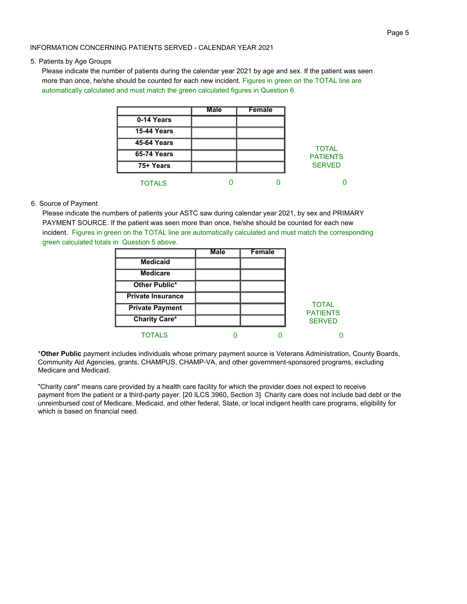#### INFORMATION CONCERNING PATIENTS SERVED - CALENDAR YEAR 2021

#### 5. Patients by Age Groups

Please indicate the number of patients during the calendar year 2021 by age and sex. If the patient was seen more than once, he/she should be counted for each new incident. Figures in green on the TOTAL line are automatically calculated and must match the green calculated figures in Question 6.

|                    | <b>Male</b> | <b>Female</b> |                 |
|--------------------|-------------|---------------|-----------------|
| 0-14 Years         |             |               |                 |
| <b>15-44 Years</b> |             |               |                 |
| <b>45-64 Years</b> |             |               | <b>TOTAL</b>    |
| <b>65-74 Years</b> |             |               | <b>PATIENTS</b> |
| 75+ Years          |             |               | <b>SERVED</b>   |
| <b>TOTALS</b>      |             |               |                 |

#### 6. Source of Payment

Please indicate the numbers of patients your ASTC saw during calendar year 2021, by sex and PRIMARY PAYMENT SOURCE. If the patient was seen more than once, he/she should be counted for each new incident. Figures in green on the TOTAL line are automatically calculated and must match the corresponding green calculated totals in Question 5 above.

|                          | <b>Male</b> | <b>Female</b> |                                 |
|--------------------------|-------------|---------------|---------------------------------|
| <b>Medicaid</b>          |             |               |                                 |
| <b>Medicare</b>          |             |               |                                 |
| Other Public*            |             |               |                                 |
| <b>Private Insurance</b> |             |               |                                 |
| <b>Private Payment</b>   |             |               | <b>TOTAL</b><br><b>PATIENTS</b> |
| <b>Charity Care*</b>     |             |               | <b>SERVED</b>                   |
| <b>TOTALS</b>            |             |               |                                 |

\***Other Public** payment includes individuals whose primary payment source is Veterans Administration, County Boards, Community Aid Agencies, grants, CHAMPUS, CHAMP-VA, and other government-sponsored programs, excluding Medicare and Medicaid.

"Charity care" means care provided by a health care facility for which the provider does not expect to receive payment from the patient or a third-party payer. [20 ILCS 3960, Section 3] Charity care does not include bad debt or the unreimbursed cost of Medicare, Medicaid, and other federal, State, or local indigent health care programs, eligibility for which is based on financial need.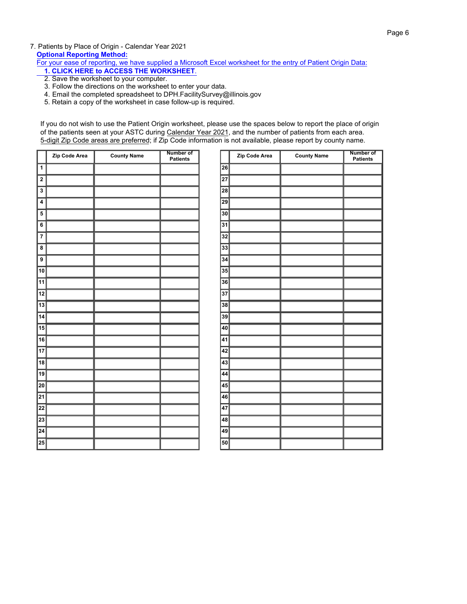7. Patients by Place of Origin - Calendar Year 2021 **Optional Reporting Method:**

For your [ease of reporting, we have supplied a Microsoft Excel worksheet](https://www2.illinois.gov/sites/hfsrb/InventoriesData/Documents/2017%20ASTC%20Patient%20Origin%20Report.xls) for the entry of Patient Origin Data:

- **1. CLICK HERE to ACCESS THE WORKSHEET**.
- 2. Save the worksheet to your computer.
- 3. Follow the directions on the worksheet to enter your data.
- 4. Email the completed spreadsheet to DPH.FacilitySurvey@illinois.gov
- 5. Retain a copy of the worksheet in case follow-up is required.

If you do not wish to use the Patient Origin worksheet, please use the spaces below to report the place of origin of the patients seen at your ASTC during Calendar Year 2021, and the number of patients from each area. 5-digit Zip Code areas are preferred; if Zip Code information is not available, please report by county name.

Ì

| 26<br>$\mathbf{1}$<br>$\overline{\mathbf{2}}$<br>27<br>$\overline{\mathbf{3}}$<br>28<br>29<br>$\overline{\mathbf{4}}$<br>5<br>30<br>31<br>6<br>32<br>$\overline{7}$<br>33<br>8<br>9<br>34<br>$\overline{10}$<br>35<br>$\overline{11}$<br>$\overline{36}$<br>12<br>37<br>$\overline{13}$<br>38<br>14<br>39<br>$\overline{15}$<br>40<br>16<br>41<br>$\overline{17}$<br>42<br>$\overline{18}$<br>43<br>19<br>44<br>20<br>45<br>21<br>46<br>22<br>47<br>23<br>48<br>24<br>49<br>25<br>50 | Zip Code Area | <b>County Name</b> | Number of<br><b>Patients</b> | Zip C |
|--------------------------------------------------------------------------------------------------------------------------------------------------------------------------------------------------------------------------------------------------------------------------------------------------------------------------------------------------------------------------------------------------------------------------------------------------------------------------------------|---------------|--------------------|------------------------------|-------|
|                                                                                                                                                                                                                                                                                                                                                                                                                                                                                      |               |                    |                              |       |
|                                                                                                                                                                                                                                                                                                                                                                                                                                                                                      |               |                    |                              |       |
|                                                                                                                                                                                                                                                                                                                                                                                                                                                                                      |               |                    |                              |       |
|                                                                                                                                                                                                                                                                                                                                                                                                                                                                                      |               |                    |                              |       |
|                                                                                                                                                                                                                                                                                                                                                                                                                                                                                      |               |                    |                              |       |
|                                                                                                                                                                                                                                                                                                                                                                                                                                                                                      |               |                    |                              |       |
|                                                                                                                                                                                                                                                                                                                                                                                                                                                                                      |               |                    |                              |       |
|                                                                                                                                                                                                                                                                                                                                                                                                                                                                                      |               |                    |                              |       |
|                                                                                                                                                                                                                                                                                                                                                                                                                                                                                      |               |                    |                              |       |
|                                                                                                                                                                                                                                                                                                                                                                                                                                                                                      |               |                    |                              |       |
|                                                                                                                                                                                                                                                                                                                                                                                                                                                                                      |               |                    |                              |       |
|                                                                                                                                                                                                                                                                                                                                                                                                                                                                                      |               |                    |                              |       |
|                                                                                                                                                                                                                                                                                                                                                                                                                                                                                      |               |                    |                              |       |
|                                                                                                                                                                                                                                                                                                                                                                                                                                                                                      |               |                    |                              |       |
|                                                                                                                                                                                                                                                                                                                                                                                                                                                                                      |               |                    |                              |       |
|                                                                                                                                                                                                                                                                                                                                                                                                                                                                                      |               |                    |                              |       |
|                                                                                                                                                                                                                                                                                                                                                                                                                                                                                      |               |                    |                              |       |
|                                                                                                                                                                                                                                                                                                                                                                                                                                                                                      |               |                    |                              |       |
|                                                                                                                                                                                                                                                                                                                                                                                                                                                                                      |               |                    |                              |       |
|                                                                                                                                                                                                                                                                                                                                                                                                                                                                                      |               |                    |                              |       |
|                                                                                                                                                                                                                                                                                                                                                                                                                                                                                      |               |                    |                              |       |
|                                                                                                                                                                                                                                                                                                                                                                                                                                                                                      |               |                    |                              |       |
|                                                                                                                                                                                                                                                                                                                                                                                                                                                                                      |               |                    |                              |       |
|                                                                                                                                                                                                                                                                                                                                                                                                                                                                                      |               |                    |                              |       |
|                                                                                                                                                                                                                                                                                                                                                                                                                                                                                      |               |                    |                              |       |

|                 | Zip Code Area | <b>County Name</b> | <b>Number of</b><br>Patients |
|-----------------|---------------|--------------------|------------------------------|
| $\overline{26}$ |               |                    |                              |
| $\overline{27}$ |               |                    |                              |
| $\overline{28}$ |               |                    |                              |
| 29              |               |                    |                              |
| $\overline{30}$ |               |                    |                              |
| $\overline{31}$ |               |                    |                              |
| $\overline{32}$ |               |                    |                              |
| $\overline{33}$ |               |                    |                              |
| $\overline{34}$ |               |                    |                              |
| $\overline{35}$ |               |                    |                              |
| $\overline{36}$ |               |                    |                              |
| $\overline{37}$ |               |                    |                              |
| $\overline{38}$ |               |                    |                              |
| $\overline{39}$ |               |                    |                              |
| 40              |               |                    |                              |
| 41              |               |                    |                              |
| $\overline{42}$ |               |                    |                              |
| $\overline{43}$ |               |                    |                              |
| $\overline{44}$ |               |                    |                              |
| 45              |               |                    |                              |
| 46              |               |                    |                              |
| 47              |               |                    |                              |
| $\overline{48}$ |               |                    |                              |
| $\overline{49}$ |               |                    |                              |
| 50              |               |                    |                              |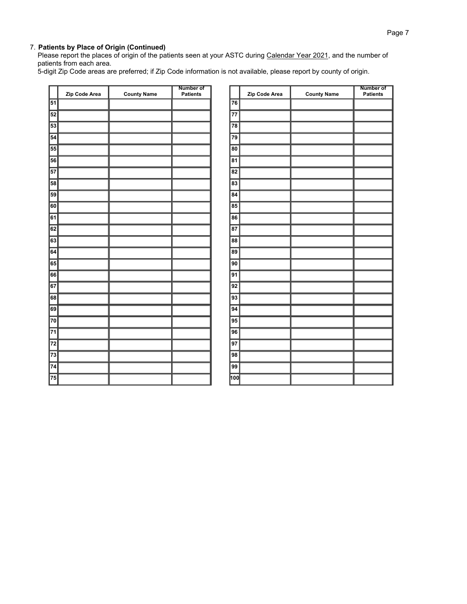Please report the places of origin of the patients seen at your ASTC during Calendar Year 2021, and the number of patients from each area.

5-digit Zip Code areas are preferred; if Zip Code information is not available, please report by county of origin.

| $\overline{51}$<br>52<br>53 | Zip Code Area | <b>County Name</b> | Patients |                                     | Zip Code Area | <b>County Name</b> | Patients |
|-----------------------------|---------------|--------------------|----------|-------------------------------------|---------------|--------------------|----------|
|                             |               |                    |          |                                     |               |                    |          |
|                             |               |                    |          | 76                                  |               |                    |          |
|                             |               |                    |          | $\overline{77}$                     |               |                    |          |
|                             |               |                    |          | $\overline{78}$                     |               |                    |          |
| 54                          |               |                    |          | $\overline{79}$                     |               |                    |          |
| 55                          |               |                    |          | 80                                  |               |                    |          |
| 56                          |               |                    |          | $\overline{81}$                     |               |                    |          |
| $\overline{57}$             |               |                    |          | $\overline{82}$                     |               |                    |          |
| 58                          |               |                    |          | $\overline{83}$                     |               |                    |          |
| 59                          |               |                    |          | $\overline{84}$                     |               |                    |          |
| 60                          |               |                    |          | $\overline{\overline{\mathbf{85}}}$ |               |                    |          |
| $\overline{61}$             |               |                    |          | $\overline{86}$                     |               |                    |          |
| 62                          |               |                    |          | $\overline{87}$                     |               |                    |          |
| $\overline{63}$             |               |                    |          | $\overline{88}$                     |               |                    |          |
| 64                          |               |                    |          | 89                                  |               |                    |          |
| $\boxed{65}$                |               |                    |          | $\overline{90}$                     |               |                    |          |
| 66                          |               |                    |          | $\overline{91}$                     |               |                    |          |
| $\overline{67}$             |               |                    |          | $\overline{92}$                     |               |                    |          |
| 68                          |               |                    |          | $\overline{93}$                     |               |                    |          |
| 69                          |               |                    |          | 94                                  |               |                    |          |
| $\overline{70}$             |               |                    |          | $\overline{95}$                     |               |                    |          |
| $\overline{71}$             |               |                    |          | $\overline{96}$                     |               |                    |          |
| $\overline{72}$             |               |                    |          | $\overline{97}$                     |               |                    |          |
| $\overline{73}$             |               |                    |          | $\overline{98}$                     |               |                    |          |
| $\overline{74}$             |               |                    |          | $\overline{99}$                     |               |                    |          |
| $\overline{75}$             |               |                    |          | hoo                                 |               |                    |          |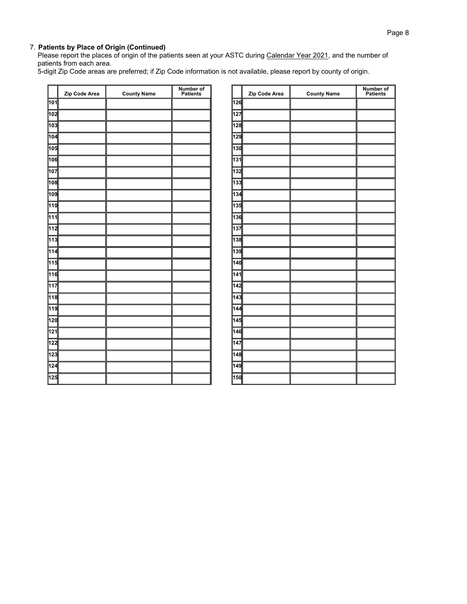Please report the places of origin of the patients seen at your ASTC during Calendar Year 2021, and the number of patients from each area.

5-digit Zip Code areas are preferred; if Zip Code information is not available, please report by county of origin.

|                  | Zip Code Area | <b>County Name</b> | <b>Number of<br/>Patients</b> |
|------------------|---------------|--------------------|-------------------------------|
| 101              |               |                    |                               |
| 102              |               |                    |                               |
| 103              |               |                    |                               |
| 104              |               |                    |                               |
| 105              |               |                    |                               |
| 106              |               |                    |                               |
| 107              |               |                    |                               |
| 108              |               |                    |                               |
| 109              |               |                    |                               |
| 110              |               |                    |                               |
| $\overline{111}$ |               |                    |                               |
| 112              |               |                    |                               |
| 113              |               |                    |                               |
| 114              |               |                    |                               |
| 115              |               |                    |                               |
| 116              |               |                    |                               |
| 117              |               |                    |                               |
| 118              |               |                    |                               |
| 119              |               |                    |                               |
| 120              |               |                    |                               |
| 121              |               |                    |                               |
| 122              |               |                    |                               |
| 123              |               |                    |                               |
| $\overline{124}$ |               |                    |                               |
| 125              |               |                    |                               |

|                  | Zip Code Area | <b>County Name</b> | <b>Number of<br/>Patients</b> |
|------------------|---------------|--------------------|-------------------------------|
| 126              |               |                    |                               |
| 127              |               |                    |                               |
| 128              |               |                    |                               |
| 129              |               |                    |                               |
| 130              |               |                    |                               |
| 131              |               |                    |                               |
| 132              |               |                    |                               |
| 133              |               |                    |                               |
| 134              |               |                    |                               |
| 135              |               |                    |                               |
| 136              |               |                    |                               |
| 137              |               |                    |                               |
| 138              |               |                    |                               |
| 139              |               |                    |                               |
| 140              |               |                    |                               |
| 141              |               |                    |                               |
| 142              |               |                    |                               |
| $\overline{143}$ |               |                    |                               |
| 144              |               |                    |                               |
| 145              |               |                    |                               |
| 146              |               |                    |                               |
| 147              |               |                    |                               |
| 148              |               |                    |                               |
| 149              |               |                    |                               |
| 150              |               |                    |                               |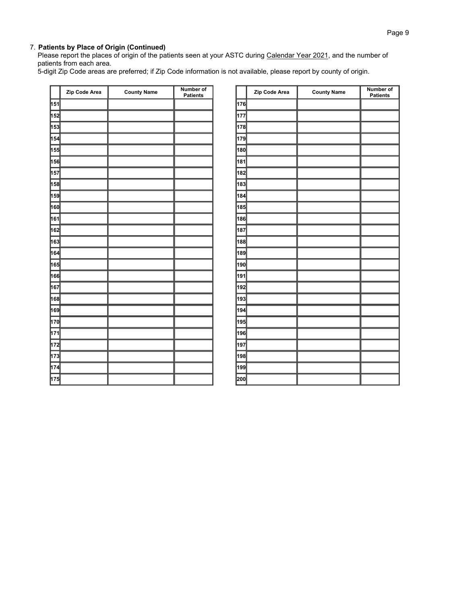Please report the places of origin of the patients seen at your ASTC during Calendar Year 2021, and the number of patients from each area.

5-digit Zip Code areas are preferred; if Zip Code information is not available, please report by county of origin.

|     | Zip Code Area | <b>County Name</b> | <b>Number of</b><br><b>Patients</b> |
|-----|---------------|--------------------|-------------------------------------|
| 151 |               |                    |                                     |
| 152 |               |                    |                                     |
| 153 |               |                    |                                     |
| 154 |               |                    |                                     |
| 155 |               |                    |                                     |
| 156 |               |                    |                                     |
| 157 |               |                    |                                     |
| 158 |               |                    |                                     |
| 159 |               |                    |                                     |
| 160 |               |                    |                                     |
| 161 |               |                    |                                     |
| 162 |               |                    |                                     |
| 163 |               |                    |                                     |
| 164 |               |                    |                                     |
| 165 |               |                    |                                     |
| 166 |               |                    |                                     |
| 167 |               |                    |                                     |
| 168 |               |                    |                                     |
| 169 |               |                    |                                     |
| 170 |               |                    |                                     |
| 171 |               |                    |                                     |
| 172 |               |                    |                                     |
| 173 |               |                    |                                     |
| 174 |               |                    |                                     |
| 175 |               |                    |                                     |

|     | Zip Code Area | <b>County Name</b> | <b>Number of</b><br><b>Patients</b> |
|-----|---------------|--------------------|-------------------------------------|
| 176 |               |                    |                                     |
| 177 |               |                    |                                     |
| 178 |               |                    |                                     |
| 179 |               |                    |                                     |
| 180 |               |                    |                                     |
| 181 |               |                    |                                     |
| 182 |               |                    |                                     |
| 183 |               |                    |                                     |
| 184 |               |                    |                                     |
| 185 |               |                    |                                     |
| 186 |               |                    |                                     |
| 187 |               |                    |                                     |
| 188 |               |                    |                                     |
| 189 |               |                    |                                     |
| 190 |               |                    |                                     |
| 191 |               |                    |                                     |
| 192 |               |                    |                                     |
| 193 |               |                    |                                     |
| 194 |               |                    |                                     |
| 195 |               |                    |                                     |
| 196 |               |                    |                                     |
| 197 |               |                    |                                     |
| 198 |               |                    |                                     |
| 199 |               |                    |                                     |
| 200 |               |                    |                                     |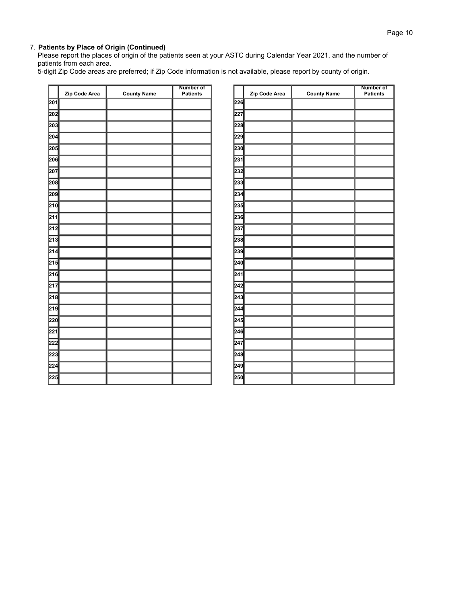Please report the places of origin of the patients seen at your ASTC during Calendar Year 2021, and the number of patients from each area.

5-digit Zip Code areas are preferred; if Zip Code information is not available, please report by county of origin.

|              | Zip Code Area | <b>County Name</b> | Number of<br><b>Patients</b> |
|--------------|---------------|--------------------|------------------------------|
| 201          |               |                    |                              |
| 202          |               |                    |                              |
| 203          |               |                    |                              |
| 204          |               |                    |                              |
| 205          |               |                    |                              |
| 206          |               |                    |                              |
| 207          |               |                    |                              |
| 208          |               |                    |                              |
| 209          |               |                    |                              |
| 210          |               |                    |                              |
| $\sqrt{211}$ |               |                    |                              |
| 212          |               |                    |                              |
| 213          |               |                    |                              |
| 214          |               |                    |                              |
| 215          |               |                    |                              |
| 216          |               |                    |                              |
| 217          |               |                    |                              |
| 218          |               |                    |                              |
| 219          |               |                    |                              |
| 220          |               |                    |                              |
| 221          |               |                    |                              |
| 222          |               |                    |                              |
| 223          |               |                    |                              |
| 224          |               |                    |                              |
| 225          |               |                    |                              |

|     | Zip Code Area | <b>County Name</b> | <b>Number of</b><br><b>Patients</b> |
|-----|---------------|--------------------|-------------------------------------|
| 226 |               |                    |                                     |
| 227 |               |                    |                                     |
| 228 |               |                    |                                     |
| 229 |               |                    |                                     |
| 230 |               |                    |                                     |
| 231 |               |                    |                                     |
| 232 |               |                    |                                     |
| 233 |               |                    |                                     |
| 234 |               |                    |                                     |
| 235 |               |                    |                                     |
| 236 |               |                    |                                     |
| 237 |               |                    |                                     |
| 238 |               |                    |                                     |
| 239 |               |                    |                                     |
| 240 |               |                    |                                     |
| 241 |               |                    |                                     |
| 242 |               |                    |                                     |
| 243 |               |                    |                                     |
| 244 |               |                    |                                     |
| 245 |               |                    |                                     |
| 246 |               |                    |                                     |
| 247 |               |                    |                                     |
| 248 |               |                    |                                     |
| 249 |               |                    |                                     |
| 250 |               |                    |                                     |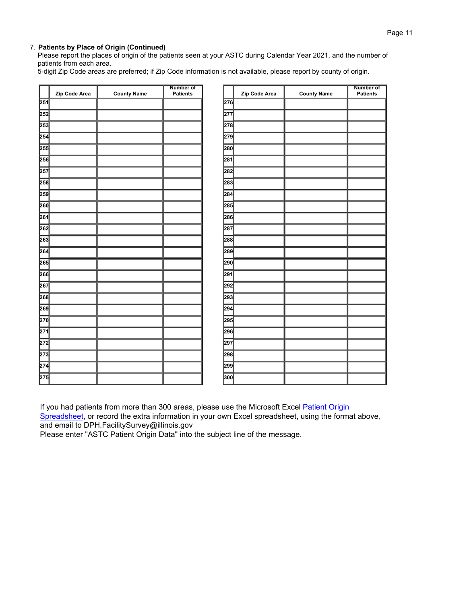Please report the places of origin of the patients seen at your ASTC during Calendar Year 2021, and the number of patients from each area.

5-digit Zip Code areas are preferred; if Zip Code information is not available, please report by county of origin.

|                  |               |                    | <b>Number of</b> |     |               |                    | <b>Number of</b> |
|------------------|---------------|--------------------|------------------|-----|---------------|--------------------|------------------|
|                  | Zip Code Area | <b>County Name</b> | <b>Patients</b>  |     | Zip Code Area | <b>County Name</b> | <b>Patients</b>  |
| 251              |               |                    |                  | 276 |               |                    |                  |
| 252              |               |                    |                  | 277 |               |                    |                  |
| 253              |               |                    |                  | 278 |               |                    |                  |
| 254              |               |                    |                  | 279 |               |                    |                  |
| 255              |               |                    |                  | 280 |               |                    |                  |
| 256              |               |                    |                  | 281 |               |                    |                  |
| 257              |               |                    |                  | 282 |               |                    |                  |
| 258              |               |                    |                  | 283 |               |                    |                  |
| 259              |               |                    |                  | 284 |               |                    |                  |
| 260              |               |                    |                  | 285 |               |                    |                  |
| 261              |               |                    |                  | 286 |               |                    |                  |
| 262              |               |                    |                  | 287 |               |                    |                  |
| 263              |               |                    |                  | 288 |               |                    |                  |
| 264              |               |                    |                  | 289 |               |                    |                  |
| 265              |               |                    |                  | 290 |               |                    |                  |
| 266              |               |                    |                  | 291 |               |                    |                  |
| 267              |               |                    |                  | 292 |               |                    |                  |
| 268              |               |                    |                  | 293 |               |                    |                  |
| 269              |               |                    |                  | 294 |               |                    |                  |
| 270              |               |                    |                  | 295 |               |                    |                  |
| 271              |               |                    |                  | 296 |               |                    |                  |
| 272              |               |                    |                  | 297 |               |                    |                  |
| $\overline{273}$ |               |                    |                  | 298 |               |                    |                  |
| 274              |               |                    |                  | 299 |               |                    |                  |
| 275              |               |                    |                  | 300 |               |                    |                  |

If you had patients from more than 300 areas, please use the Microsoft Excel Patient Origin

[Spreadsheet, or record the extra information in your own Excel spreadsheet, using the forma](https://www2.illinois.gov/sites/hfsrb/InventoriesData/Documents/2017%20ASTC%20Patient%20Origin%20Report.xls)t above, and email to DPH.FacilitySurvey@illinois.gov

Please enter "ASTC Patient Origin Data" into the subject line of the message.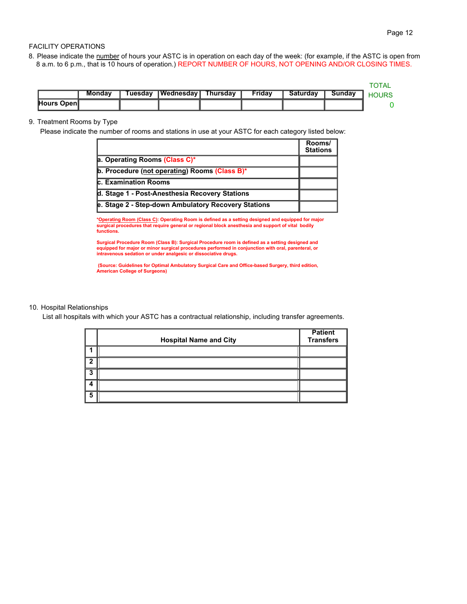### FACILITY OPERATIONS

8. Please indicate the number of hours your ASTC is in operation on each day of the week: (for example, if the ASTC is open from 8 a.m. to 6 p.m., that is 10 hours of operation.) REPORT NUMBER OF HOURS, NOT OPENING AND/OR CLOSING TIMES.

|            | Mondav | <b>uesdav</b> | <b>TWednesday</b> | Thursdav | Fridav | Saturdav | Sundav |  |
|------------|--------|---------------|-------------------|----------|--------|----------|--------|--|
| Hours Open |        |               |                   |          |        |          |        |  |

### 9. Treatment Rooms by Type

Please indicate the number of rooms and stations in use at your ASTC for each category listed below:

|                                                      | Rooms/<br><b>Stations</b> |
|------------------------------------------------------|---------------------------|
| a. Operating Rooms (Class C)*                        |                           |
| <b>b. Procedure (not operating) Rooms (Class B)*</b> |                           |
| <b>c. Examination Rooms</b>                          |                           |
| d. Stage 1 - Post-Anesthesia Recovery Stations       |                           |
| e. Stage 2 - Step-down Ambulatory Recovery Stations  |                           |

**\*Operating Room (Class C): Operating Room is defined as a setting designed and equipped for major surgical procedures that require general or regional block anesthesia and support of vital bodily functions.**

Surgical Procedure Room (Class B): Surgical Procedure room is defined as a setting designed and<br>equipped for major or minor surgical procedures performed in conjunction with oral, parenteral, or<br>intravenous sedation or und

 **(Source: Guidelines for Optimal Ambulatory Surgical Care and Office-based Surgery, third edition, American College of Surgeons)**

### 10. Hospital Relationships

List all hospitals with which your ASTC has a contractual relationship, including transfer agreements.

|   | <b>Hospital Name and City</b> | <b>Patient</b><br><b>Transfers</b> |
|---|-------------------------------|------------------------------------|
|   |                               |                                    |
| ◠ |                               |                                    |
| 3 |                               |                                    |
|   |                               |                                    |
| 5 |                               |                                    |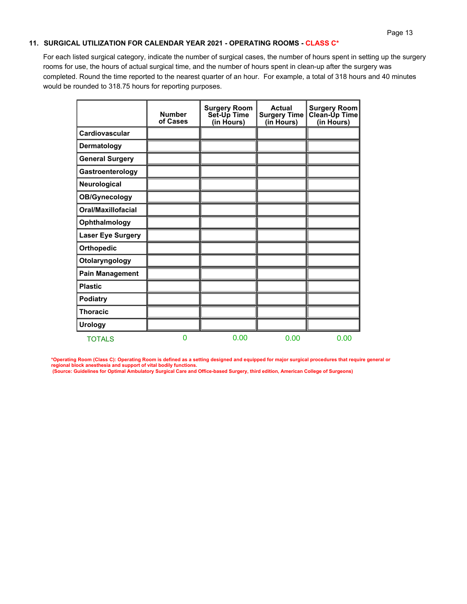## **11. SURGICAL UTILIZATION FOR CALENDAR YEAR 2021 - OPERATING ROOMS - CLASS C\***

For each listed surgical category, indicate the number of surgical cases, the number of hours spent in setting up the surgery rooms for use, the hours of actual surgical time, and the number of hours spent in clean-up after the surgery was completed. Round the time reported to the nearest quarter of an hour. For example, a total of 318 hours and 40 minutes would be rounded to 318.75 hours for reporting purposes.

|                          | <b>Number</b><br>of Cases | <b>Surgery Room</b><br>Set-Up Time<br>(in Hours) | <b>Actual</b><br><b>Surgery Time</b><br>(in Hours) | <b>Surgery Room</b><br>Clean-Up Time<br>(in Hours) |
|--------------------------|---------------------------|--------------------------------------------------|----------------------------------------------------|----------------------------------------------------|
| Cardiovascular           |                           |                                                  |                                                    |                                                    |
| Dermatology              |                           |                                                  |                                                    |                                                    |
| <b>General Surgery</b>   |                           |                                                  |                                                    |                                                    |
| Gastroenterology         |                           |                                                  |                                                    |                                                    |
| Neurological             |                           |                                                  |                                                    |                                                    |
| <b>OB/Gynecology</b>     |                           |                                                  |                                                    |                                                    |
| Oral/Maxillofacial       |                           |                                                  |                                                    |                                                    |
| Ophthalmology            |                           |                                                  |                                                    |                                                    |
| <b>Laser Eye Surgery</b> |                           |                                                  |                                                    |                                                    |
| <b>Orthopedic</b>        |                           |                                                  |                                                    |                                                    |
| Otolaryngology           |                           |                                                  |                                                    |                                                    |
| Pain Management          |                           |                                                  |                                                    |                                                    |
| <b>Plastic</b>           |                           |                                                  |                                                    |                                                    |
| Podiatry                 |                           |                                                  |                                                    |                                                    |
| <b>Thoracic</b>          |                           |                                                  |                                                    |                                                    |
| <b>Urology</b>           |                           |                                                  |                                                    |                                                    |
| <b>TOTALS</b>            | 0                         | 0.00                                             | 0.00                                               | 0.00                                               |

**\*Operating Room (Class C): Operating Room is defined as a setting designed and equipped for major surgical procedures that require general or regional block anesthesia and support of vital bodily functions. (Source: Guidelines for Optimal Ambulatory Surgical Care and Office-based Surgery, third edition, American College of Surgeons)**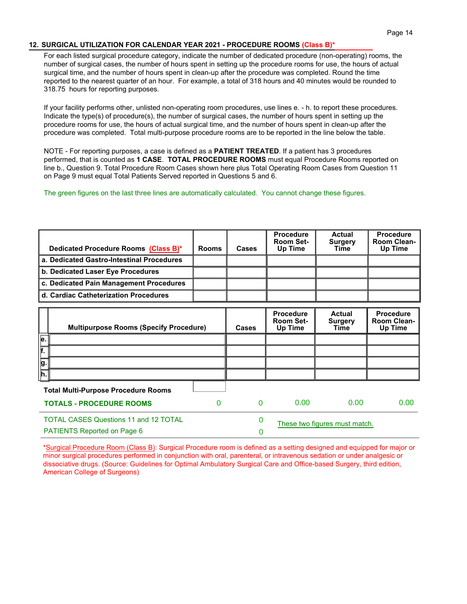# **12. SURGICAL UTILIZATION FOR CALENDAR YEAR 2021 - PROCEDURE ROOMS (Class B)\***

For each listed surgical procedure category, indicate the number of dedicated procedure (non-operating) rooms, the number of surgical cases, the number of hours spent in setting up the procedure rooms for use, the hours of actual surgical time, and the number of hours spent in clean-up after the procedure was completed. Round the time reported to the nearest quarter of an hour. For example, a total of 318 hours and 40 minutes would be rounded to 318.75 hours for reporting purposes.

If your facility performs other, unlisted non-operating room procedures, use lines e. - h. to report these procedures. Indicate the type(s) of procedure(s), the number of surgical cases, the number of hours spent in setting up the procedure rooms for use, the hours of actual surgical time, and the number of hours spent in clean-up after the procedure was completed. Total multi-purpose procedure rooms are to be reported in the line below the table.

NOTE - For reporting purposes, a case is defined as a **PATIENT TREATED**. If a patient has 3 procedures performed, that is counted as **1 CASE**. **TOTAL PROCEDURE ROOMS** must equal Procedure Rooms reported on line b., Question 9. Total Procedure Room Cases shown here plus Total Operating Room Cases from Question 11 on Page 9 must equal Total Patients Served reported in Questions 5 and 6.

The green figures on the last three lines are automatically calculated. You cannot change these figures.

| Dedicated Procedure Rooms (Class B)*                                               | <b>Rooms</b> | Cases    | <b>Procedure</b><br>Room Set-<br>Up Time        | Actual<br><b>Surgery</b><br><b>Time</b> | <b>Procedure</b><br><b>Room Clean-</b><br>Up Time |
|------------------------------------------------------------------------------------|--------------|----------|-------------------------------------------------|-----------------------------------------|---------------------------------------------------|
| a. Dedicated Gastro-Intestinal Procedures                                          |              |          |                                                 |                                         |                                                   |
| b. Dedicated Laser Eye Procedures                                                  |              |          |                                                 |                                         |                                                   |
| c. Dedicated Pain Management Procedures                                            |              |          |                                                 |                                         |                                                   |
| d. Cardiac Catheterization Procedures                                              |              |          |                                                 |                                         |                                                   |
| <b>Multipurpose Rooms (Specify Procedure)</b>                                      |              | Cases    | <b>Procedure</b><br><b>Room Set-</b><br>Up Time | Actual<br><b>Surgery</b><br>Time        | <b>Procedure</b><br><b>Room Clean-</b><br>Up Time |
| $\overline{e}$ .                                                                   |              |          |                                                 |                                         |                                                   |
| F.                                                                                 |              |          |                                                 |                                         |                                                   |
| g.                                                                                 |              |          |                                                 |                                         |                                                   |
| h.                                                                                 |              |          |                                                 |                                         |                                                   |
| <b>Total Multi-Purpose Procedure Rooms</b>                                         |              |          |                                                 |                                         |                                                   |
| <b>TOTALS - PROCEDURE ROOMS</b>                                                    | 0            | $\Omega$ | 0.00                                            | 0.00                                    | 0.00                                              |
| <b>TOTAL CASES Questions 11 and 12 TOTAL</b><br><b>PATIENTS Reported on Page 6</b> |              | 0<br>0   |                                                 | These two figures must match.           |                                                   |

\*Surgical Procedure Room (Class B): Surgical Procedure room is defined as a setting designed and equipped for major or minor surgical procedures performed in conjunction with oral, parenteral, or intravenous sedation or under analgesic or dissociative drugs. (Source: Guidelines for Optimal Ambulatory Surgical Care and Office-based Surgery, third edition, American College of Surgeons)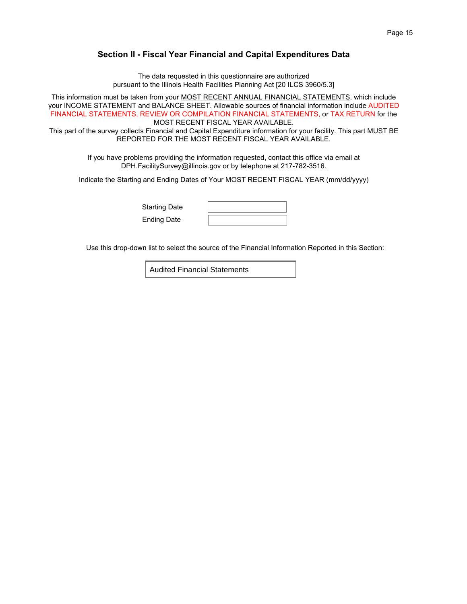# **Section II - Fiscal Year Financial and Capital Expenditures Data**

The data requested in this questionnaire are authorized pursuant to the Illinois Health Facilities Planning Act [20 ILCS 3960/5.3]

This information must be taken from your MOST RECENT ANNUAL FINANCIAL STATEMENTS, which include your INCOME STATEMENT and BALANCE SHEET. Allowable sources of financial information include AUDITED FINANCIAL STATEMENTS, REVIEW OR COMPILATION FINANCIAL STATEMENTS, or TAX RETURN for the MOST RECENT FISCAL YEAR AVAILABLE.

This part of the survey collects Financial and Capital Expenditure information for your facility. This part MUST BE REPORTED FOR THE MOST RECENT FISCAL YEAR AVAILABLE.

> If you have problems providing the information requested, contact this office via email at DPH.FacilitySurvey@illinois.gov or by telephone at 217-782-3516.

Indicate the Starting and Ending Dates of Your MOST RECENT FISCAL YEAR (mm/dd/yyyy)

Starting Date Ending Date

Use this drop-down list to select the source of the Financial Information Reported in this Section:

Audited Financial Statements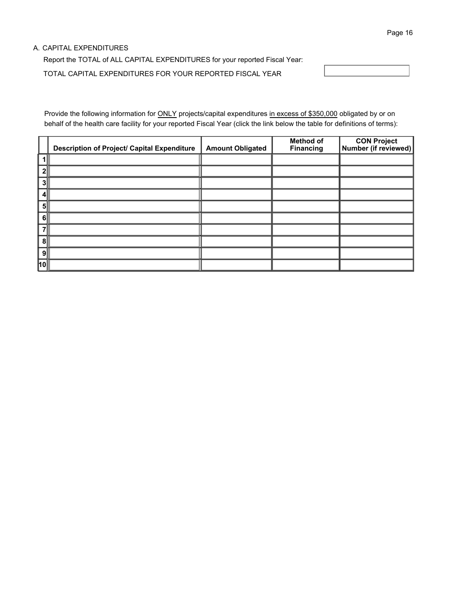### A. CAPITAL EXPENDITURES

Report the TOTAL of ALL CAPITAL EXPENDITURES for your reported Fiscal Year: TOTAL CAPITAL EXPENDITURES FOR YOUR REPORTED FISCAL YEAR

Provide the following information for ONLY projects/capital expenditures in excess of \$350,000 obligated by or on behalf of the health care facility for your reported Fiscal Year (click the link below the table for definitions of terms):

|                | <b>Description of Project/ Capital Expenditure</b> | <b>Amount Obligated</b> | <b>Method of</b><br><b>Financing</b> | CON Project<br>Number (if reviewed) |
|----------------|----------------------------------------------------|-------------------------|--------------------------------------|-------------------------------------|
|                |                                                    |                         |                                      |                                     |
| 2 <sup>1</sup> |                                                    |                         |                                      |                                     |
| 31             |                                                    |                         |                                      |                                     |
| 41             |                                                    |                         |                                      |                                     |
| 51             |                                                    |                         |                                      |                                     |
| - 6 I          |                                                    |                         |                                      |                                     |
| 7              |                                                    |                         |                                      |                                     |
| 8∥             |                                                    |                         |                                      |                                     |
| 9∥             |                                                    |                         |                                      |                                     |
| ∣10∥           |                                                    |                         |                                      |                                     |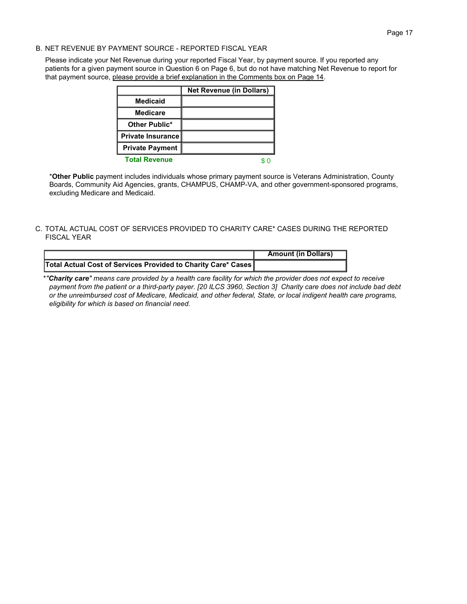Please indicate your Net Revenue during your reported Fiscal Year, by payment source. If you reported any patients for a given payment source in Question 6 on Page 6, but do not have matching Net Revenue to report for that payment source, please provide a brief explanation in the Comments box on Page 14.

|                          | <b>Net Revenue (in Dollars)</b> |
|--------------------------|---------------------------------|
| <b>Medicaid</b>          |                                 |
| <b>Medicare</b>          |                                 |
| Other Public*            |                                 |
| <b>Private Insurance</b> |                                 |
| <b>Private Payment</b>   |                                 |
| <b>Total Revenue</b>     |                                 |

\***Other Public** payment includes individuals whose primary payment source is Veterans Administration, County Boards, Community Aid Agencies, grants, CHAMPUS, CHAMP-VA, and other government-sponsored programs, excluding Medicare and Medicaid.

C. TOTAL ACTUAL COST OF SERVICES PROVIDED TO CHARITY CARE\* CASES DURING THE REPORTED FISCAL YEAR

|                                                               | <b>Amount (in Dollars)</b> |
|---------------------------------------------------------------|----------------------------|
| Total Actual Cost of Services Provided to Charity Care* Cases |                            |

\**"Charity care" means care provided by a health care facility for which the provider does not expect to receive payment from the patient or a third-party payer. [20 ILCS 3960, Section 3] Charity care does not include bad debt or the unreimbursed cost of Medicare, Medicaid, and other federal, State, or local indigent health care programs, eligibility for which is based on financial need.*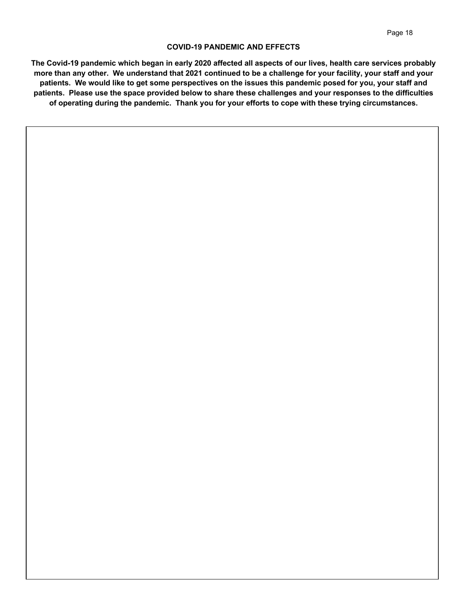### **COVID-19 PANDEMIC AND EFFECTS**

**The Covid-19 pandemic which began in early 2020 affected all aspects of our lives, health care services probably more than any other. We understand that 2021 continued to be a challenge for your facility, your staff and your patients. We would like to get some perspectives on the issues this pandemic posed for you, your staff and patients. Please use the space provided below to share these challenges and your responses to the difficulties of operating during the pandemic. Thank you for your efforts to cope with these trying circumstances.**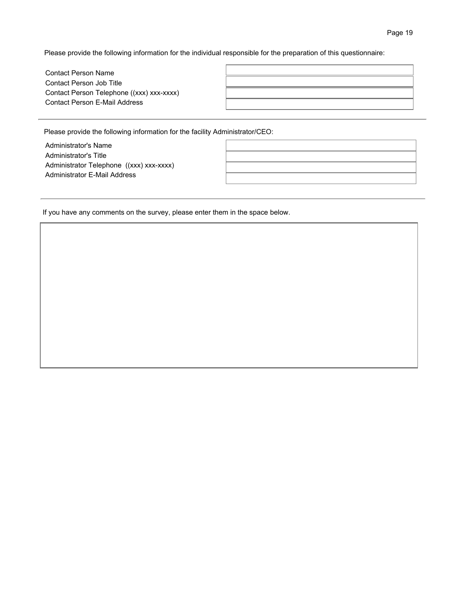Please provide the following information for the individual responsible for the preparation of this questionnaire:

| <b>Contact Person Name</b>                |  |
|-------------------------------------------|--|
| Contact Person Job Title                  |  |
| Contact Person Telephone ((xxx) xxx-xxxx) |  |
| Contact Person F-Mail Address             |  |
|                                           |  |

Please provide the following information for the facility Administrator/CEO:

Administrator's Name Administrator's Title Administrator Telephone ((xxx) xxx-xxxx) Administrator E-Mail Address

If you have any comments on the survey, please enter them in the space below.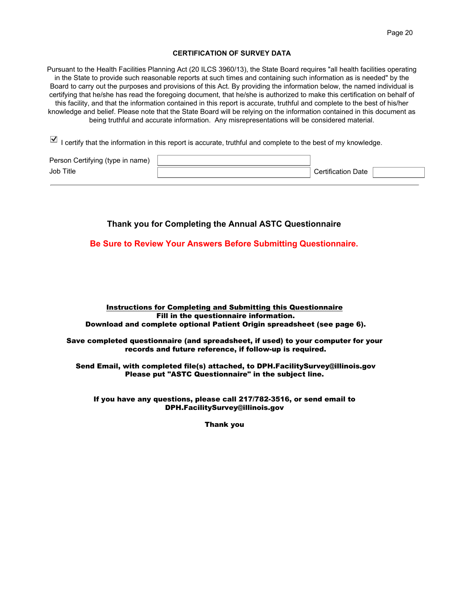#### **CERTIFICATION OF SURVEY DATA**

Pursuant to the Health Facilities Planning Act (20 ILCS 3960/13), the State Board requires "all health facilities operating in the State to provide such reasonable reports at such times and containing such information as is needed" by the Board to carry out the purposes and provisions of this Act. By providing the information below, the named individual is certifying that he/she has read the foregoing document, that he/she is authorized to make this certification on behalf of this facility, and that the information contained in this report is accurate, truthful and complete to the best of his/her knowledge and belief. Please note that the State Board will be relying on the information contained in this document as being truthful and accurate information. Any misrepresentations will be considered material.

 $\Box$  I certify that the information in this report is accurate, truthful and complete to the best of my knowledge.

| Person Certifying (type in name) |                           |  |
|----------------------------------|---------------------------|--|
| Job Title                        | <b>Certification Date</b> |  |

# **Thank you for Completing the Annual ASTC Questionnaire**

**Be Sure to Review Your Answers Before Submitting Questionnaire.**

#### Instructions for Completing and Submitting this Questionnaire Fill in the questionnaire information. Download and complete optional Patient Origin spreadsheet (see page 6).

Save completed questionnaire (and spreadsheet, if used) to your computer for your records and future reference, if follow-up is required.

Send Email, with completed file(s) attached, to DPH.FacilitySurvey@illinois.gov Please put "ASTC Questionnaire" in the subject line.

If you have any questions, please call 217/782-3516, or send email to DPH.FacilitySurvey@illinois.gov

Thank you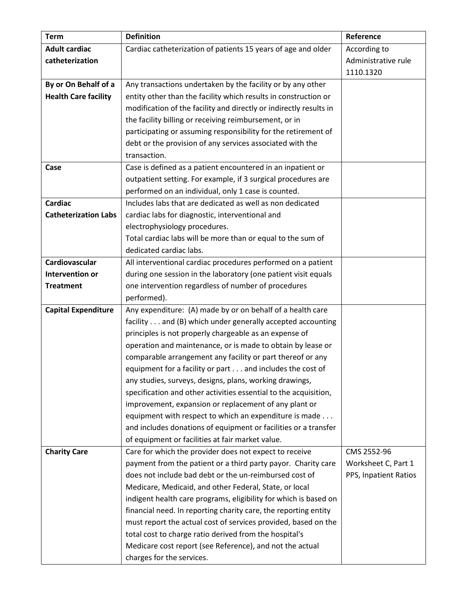| <b>Term</b>                 | <b>Definition</b>                                                  | Reference             |
|-----------------------------|--------------------------------------------------------------------|-----------------------|
| <b>Adult cardiac</b>        | Cardiac catheterization of patients 15 years of age and older      | According to          |
| catheterization             |                                                                    | Administrative rule   |
|                             |                                                                    | 1110.1320             |
| By or On Behalf of a        | Any transactions undertaken by the facility or by any other        |                       |
| <b>Health Care facility</b> | entity other than the facility which results in construction or    |                       |
|                             | modification of the facility and directly or indirectly results in |                       |
|                             | the facility billing or receiving reimbursement, or in             |                       |
|                             | participating or assuming responsibility for the retirement of     |                       |
|                             | debt or the provision of any services associated with the          |                       |
|                             | transaction.                                                       |                       |
| Case                        | Case is defined as a patient encountered in an inpatient or        |                       |
|                             | outpatient setting. For example, if 3 surgical procedures are      |                       |
|                             | performed on an individual, only 1 case is counted.                |                       |
| <b>Cardiac</b>              | Includes labs that are dedicated as well as non dedicated          |                       |
| <b>Catheterization Labs</b> | cardiac labs for diagnostic, interventional and                    |                       |
|                             | electrophysiology procedures.                                      |                       |
|                             | Total cardiac labs will be more than or equal to the sum of        |                       |
|                             | dedicated cardiac labs.                                            |                       |
| Cardiovascular              | All interventional cardiac procedures performed on a patient       |                       |
| <b>Intervention or</b>      | during one session in the laboratory (one patient visit equals     |                       |
| <b>Treatment</b>            | one intervention regardless of number of procedures                |                       |
|                             | performed).                                                        |                       |
| <b>Capital Expenditure</b>  | Any expenditure: (A) made by or on behalf of a health care         |                       |
|                             | facility and (B) which under generally accepted accounting         |                       |
|                             | principles is not properly chargeable as an expense of             |                       |
|                             | operation and maintenance, or is made to obtain by lease or        |                       |
|                             | comparable arrangement any facility or part thereof or any         |                       |
|                             | equipment for a facility or part and includes the cost of          |                       |
|                             | any studies, surveys, designs, plans, working drawings,            |                       |
|                             | specification and other activities essential to the acquisition,   |                       |
|                             | improvement, expansion or replacement of any plant or              |                       |
|                             | equipment with respect to which an expenditure is made             |                       |
|                             | and includes donations of equipment or facilities or a transfer    |                       |
|                             | of equipment or facilities at fair market value.                   |                       |
| <b>Charity Care</b>         | Care for which the provider does not expect to receive             | CMS 2552-96           |
|                             | payment from the patient or a third party payor. Charity care      | Worksheet C, Part 1   |
|                             | does not include bad debt or the un-reimbursed cost of             | PPS, Inpatient Ratios |
|                             | Medicare, Medicaid, and other Federal, State, or local             |                       |
|                             | indigent health care programs, eligibility for which is based on   |                       |
|                             | financial need. In reporting charity care, the reporting entity    |                       |
|                             | must report the actual cost of services provided, based on the     |                       |
|                             | total cost to charge ratio derived from the hospital's             |                       |
|                             | Medicare cost report (see Reference), and not the actual           |                       |
|                             | charges for the services.                                          |                       |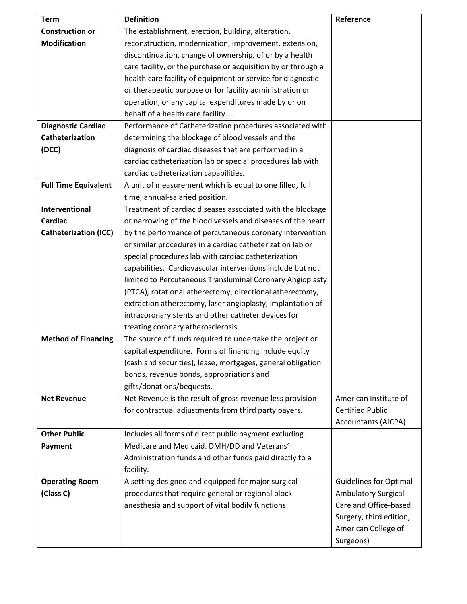| <b>Term</b>                  | <b>Definition</b>                                             | Reference                     |
|------------------------------|---------------------------------------------------------------|-------------------------------|
| <b>Construction or</b>       | The establishment, erection, building, alteration,            |                               |
| <b>Modification</b>          | reconstruction, modernization, improvement, extension,        |                               |
|                              | discontinuation, change of ownership, of or by a health       |                               |
|                              | care facility, or the purchase or acquisition by or through a |                               |
|                              | health care facility of equipment or service for diagnostic   |                               |
|                              | or therapeutic purpose or for facility administration or      |                               |
|                              | operation, or any capital expenditures made by or on          |                               |
|                              | behalf of a health care facility                              |                               |
| <b>Diagnostic Cardiac</b>    | Performance of Catheterization procedures associated with     |                               |
| Catheterization              | determining the blockage of blood vessels and the             |                               |
| (DCC)                        | diagnosis of cardiac diseases that are performed in a         |                               |
|                              | cardiac catheterization lab or special procedures lab with    |                               |
|                              | cardiac catheterization capabilities.                         |                               |
| <b>Full Time Equivalent</b>  | A unit of measurement which is equal to one filled, full      |                               |
|                              | time, annual-salaried position.                               |                               |
| Interventional               | Treatment of cardiac diseases associated with the blockage    |                               |
| <b>Cardiac</b>               | or narrowing of the blood vessels and diseases of the heart   |                               |
| <b>Catheterization (ICC)</b> | by the performance of percutaneous coronary intervention      |                               |
|                              | or similar procedures in a cardiac catheterization lab or     |                               |
|                              | special procedures lab with cardiac catheterization           |                               |
|                              | capabilities. Cardiovascular interventions include but not    |                               |
|                              | limited to Percutaneous Transluminal Coronary Angioplasty     |                               |
|                              | (PTCA), rotational atherectomy, directional atherectomy,      |                               |
|                              | extraction atherectomy, laser angioplasty, implantation of    |                               |
|                              | intracoronary stents and other catheter devices for           |                               |
|                              | treating coronary atherosclerosis.                            |                               |
| <b>Method of Financing</b>   | The source of funds required to undertake the project or      |                               |
|                              | capital expenditure. Forms of financing include equity        |                               |
|                              | (cash and securities), lease, mortgages, general obligation   |                               |
|                              | bonds, revenue bonds, appropriations and                      |                               |
|                              | gifts/donations/bequests.                                     |                               |
| <b>Net Revenue</b>           | Net Revenue is the result of gross revenue less provision     | American Institute of         |
|                              | for contractual adjustments from third party payers.          | <b>Certified Public</b>       |
|                              |                                                               | <b>Accountants (AICPA)</b>    |
| <b>Other Public</b>          | Includes all forms of direct public payment excluding         |                               |
| Payment                      | Medicare and Medicaid. DMH/DD and Veterans'                   |                               |
|                              | Administration funds and other funds paid directly to a       |                               |
|                              | facility.                                                     |                               |
| <b>Operating Room</b>        | A setting designed and equipped for major surgical            | <b>Guidelines for Optimal</b> |
| (Class C)                    | procedures that require general or regional block             | <b>Ambulatory Surgical</b>    |
|                              | anesthesia and support of vital bodily functions              | Care and Office-based         |
|                              |                                                               | Surgery, third edition,       |
|                              |                                                               | American College of           |
|                              |                                                               | Surgeons)                     |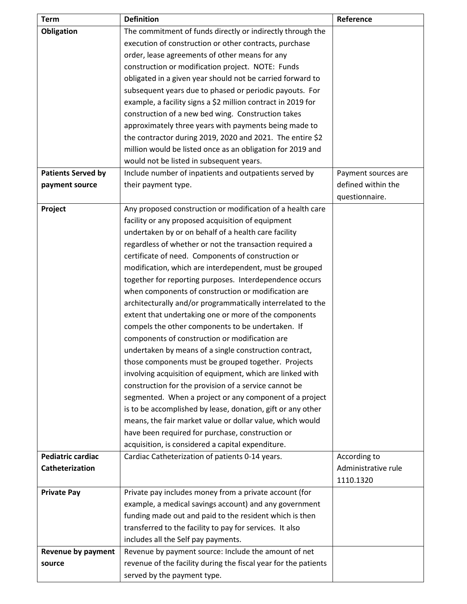| <b>Term</b>               | <b>Definition</b>                                                                                                | Reference           |
|---------------------------|------------------------------------------------------------------------------------------------------------------|---------------------|
| <b>Obligation</b>         | The commitment of funds directly or indirectly through the                                                       |                     |
|                           | execution of construction or other contracts, purchase                                                           |                     |
|                           | order, lease agreements of other means for any                                                                   |                     |
|                           | construction or modification project. NOTE: Funds                                                                |                     |
|                           | obligated in a given year should not be carried forward to                                                       |                     |
|                           | subsequent years due to phased or periodic payouts. For                                                          |                     |
|                           | example, a facility signs a \$2 million contract in 2019 for                                                     |                     |
|                           | construction of a new bed wing. Construction takes                                                               |                     |
|                           | approximately three years with payments being made to                                                            |                     |
|                           | the contractor during 2019, 2020 and 2021. The entire \$2                                                        |                     |
|                           | million would be listed once as an obligation for 2019 and                                                       |                     |
|                           | would not be listed in subsequent years.                                                                         |                     |
| <b>Patients Served by</b> | Include number of inpatients and outpatients served by                                                           | Payment sources are |
| payment source            | their payment type.                                                                                              | defined within the  |
|                           |                                                                                                                  | questionnaire.      |
| Project                   | Any proposed construction or modification of a health care                                                       |                     |
|                           | facility or any proposed acquisition of equipment                                                                |                     |
|                           | undertaken by or on behalf of a health care facility                                                             |                     |
|                           | regardless of whether or not the transaction required a                                                          |                     |
|                           | certificate of need. Components of construction or                                                               |                     |
|                           | modification, which are interdependent, must be grouped                                                          |                     |
|                           | together for reporting purposes. Interdependence occurs                                                          |                     |
|                           | when components of construction or modification are                                                              |                     |
|                           | architecturally and/or programmatically interrelated to the                                                      |                     |
|                           | extent that undertaking one or more of the components                                                            |                     |
|                           | compels the other components to be undertaken. If                                                                |                     |
|                           | components of construction or modification are                                                                   |                     |
|                           | undertaken by means of a single construction contract,                                                           |                     |
|                           | those components must be grouped together. Projects                                                              |                     |
|                           | involving acquisition of equipment, which are linked with                                                        |                     |
|                           | construction for the provision of a service cannot be<br>segmented. When a project or any component of a project |                     |
|                           | is to be accomplished by lease, donation, gift or any other                                                      |                     |
|                           | means, the fair market value or dollar value, which would                                                        |                     |
|                           | have been required for purchase, construction or                                                                 |                     |
|                           | acquisition, is considered a capital expenditure.                                                                |                     |
| <b>Pediatric cardiac</b>  | Cardiac Catheterization of patients 0-14 years.                                                                  | According to        |
| Catheterization           |                                                                                                                  | Administrative rule |
|                           |                                                                                                                  | 1110.1320           |
| <b>Private Pay</b>        | Private pay includes money from a private account (for                                                           |                     |
|                           | example, a medical savings account) and any government                                                           |                     |
|                           | funding made out and paid to the resident which is then                                                          |                     |
|                           | transferred to the facility to pay for services. It also                                                         |                     |
|                           | includes all the Self pay payments.                                                                              |                     |
| <b>Revenue by payment</b> | Revenue by payment source: Include the amount of net                                                             |                     |
| source                    | revenue of the facility during the fiscal year for the patients                                                  |                     |
|                           | served by the payment type.                                                                                      |                     |